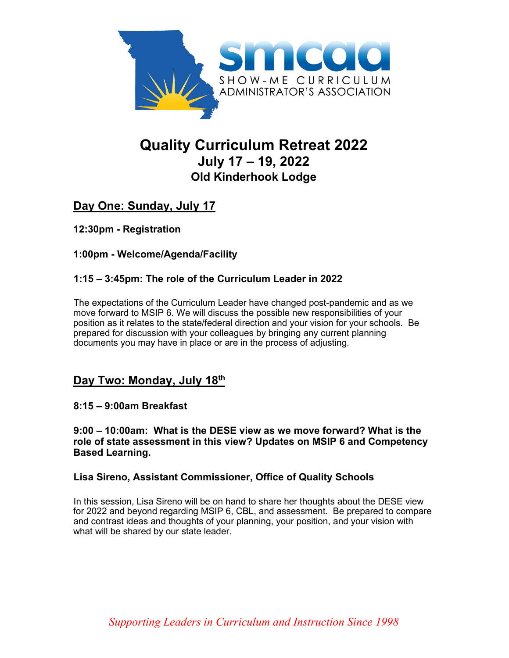

# **Quality Curriculum Retreat 2022 July 17 – 19, 2022 Old Kinderhook Lodge**

## **Day One: Sunday, July 17**

**12:30pm - Registration** 

#### **1:00pm - Welcome/Agenda/Facility**

#### **1:15 – 3:45pm: The role of the Curriculum Leader in 2022**

The expectations of the Curriculum Leader have changed post-pandemic and as we move forward to MSIP 6. We will discuss the possible new responsibilities of your position as it relates to the state/federal direction and your vision for your schools. Be prepared for discussion with your colleagues by bringing any current planning documents you may have in place or are in the process of adjusting.

### **Day Two: Monday, July 18th**

#### **8:15 – 9:00am Breakfast**

**9:00 – 10:00am: What is the DESE view as we move forward? What is the role of state assessment in this view? Updates on MSIP 6 and Competency Based Learning.** 

#### **Lisa Sireno, Assistant Commissioner, Office of Quality Schools**

In this session, Lisa Sireno will be on hand to share her thoughts about the DESE view for 2022 and beyond regarding MSIP 6, CBL, and assessment. Be prepared to compare and contrast ideas and thoughts of your planning, your position, and your vision with what will be shared by our state leader.